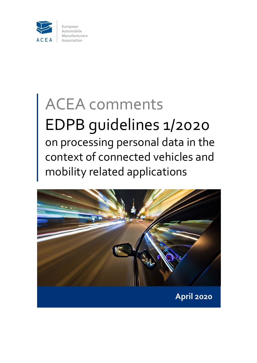

# ACEA comments EDPB guidelines 1/2020 on processing personal data in the context of connected vehicles and mobility related applications

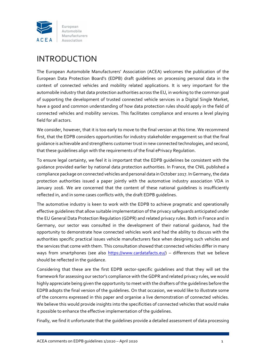

# INTRODUCTION

The European Automobile Manufacturers' Association (ACEA) welcomes the publication of the European Data Protection Board's (EDPB) draft guidelines on processing personal data in the context of connected vehicles and mobility related applications. It is very important for the automobile industry that data protection authorities across the EU, in working to the common goal of supporting the development of trusted connected vehicle services in a Digital Single Market, have a good and common understanding of how data protection rules should apply in the field of connected vehicles and mobility services. This facilitates compliance and ensures a level playing field for all actors.

We consider, however, that it is too early to move to the final version at this time. We recommend first, that the EDPB considers opportunities for industry stakeholder engagement so that the final guidance is achievable and strengthens customer trust in new connected technologies, and second, that these guidelines align with the requirements of the final ePrivacy Regulation.

To ensure legal certainty, we feel it is important that the EDPB guidelines be consistent with the guidance provided earlier by national data protection authorities. In France, the CNIL published a compliance package on connected vehicles and personal data in October 2017. In Germany, the data protection authorities issued a paper jointly with the automotive industry association VDA in January 2016. We are concerned that the content of these national guidelines is insufficiently reflected in, and in some cases conflicts with, the draft EDPB guidelines.

The automotive industry is keen to work with the EDPB to achieve pragmatic and operationally effective guidelines that allow suitable implementation of the privacy safeguards anticipated under the EU General Data Protection Regulation (GDPR) and related privacy rules. Both in France and in Germany, our sector was consulted in the development of their national guidance, had the opportunity to demonstrate how connected vehicles work and had the ability to discuss with the authorities specific practical issues vehicle manufacturers face when designing such vehicles and the services that come with them. This consultation showed that connected vehicles differ in many ways from smartphones (see also https://www.cardatafacts.eu/) – differences that we believe should be reflected in the guidance.

Considering that these are the first EDPB sector‐specific guidelines and that they will set the framework for assessing our sector's compliance with the GDPR and related privacy rules, we would highly appreciate being given the opportunity to meet with the drafters of the guidelines before the EDPB adopts the final version of the guidelines. On that occasion, we would like to illustrate some of the concerns expressed in this paper and organise a live demonstration of connected vehicles. We believe this would provide insights into the specificities of connected vehicles that would make it possible to enhance the effective implementation of the guidelines.

Finally, we find it unfortunate that the guidelines provide a detailed assessment of data processing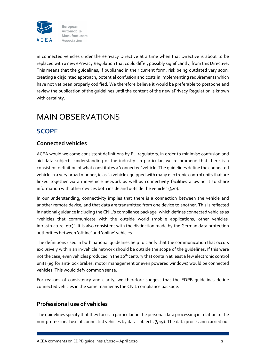

in connected vehicles under the ePrivacy Directive at a time when that Directive is about to be replaced with a new ePrivacy Regulation that could differ, possibly significantly, from this Directive. This means that the guidelines, if published in their current form, risk being outdated very soon, creating a disjointed approach, potential confusion and costs in implementing requirements which have not yet been properly codified. We therefore believe it would be preferable to postpone and review the publication of the guidelines until the content of the new ePrivacy Regulation is known with certainty.

# MAIN OBSERVATIONS

### **SCOPE**

#### **Connected vehicles**

ACEA would welcome consistent definitions by EU regulators, in order to minimise confusion and aid data subjects' understanding of the industry. In particular, we recommend that there is a consistent definition of what constitutes a 'connected' vehicle. The guidelines define the connected vehicle in a very broad manner, ie as "a vehicle equipped with many electronic control units that are linked together via an in-vehicle network as well as connectivity facilities allowing it to share information with other devices both inside and outside the vehicle" (§20).

In our understanding, connectivity implies that there is a connection between the vehicle and another remote device, and that data are transmitted from one device to another. This is reflected in national guidance including the CNIL's compliance package, which defines connected vehicles as "vehicles that communicate with the outside world (mobile applications, other vehicles, infrastructure, etc)". It is also consistent with the distinction made by the German data protection authorities between 'offline' and 'online' vehicles.

The definitions used in both national guidelines help to clarify that the communication that occurs exclusively within an in-vehicle network should be outside the scope of the quidelines. If this were not the case, even vehicles produced in the 20<sup>th</sup> century that contain at least a few electronic control units (eg for anti‐lock brakes, motor management or even powered windows) would be connected vehicles. This would defy common sense.

For reasons of consistency and clarity, we therefore suggest that the EDPB guidelines define connected vehicles in the same manner as the CNIL compliance package.

#### **Professional use of vehicles**

The guidelines specify that they focus in particular on the personal data processing in relation to the non-professional use of connected vehicles by data subjects (§ 19). The data processing carried out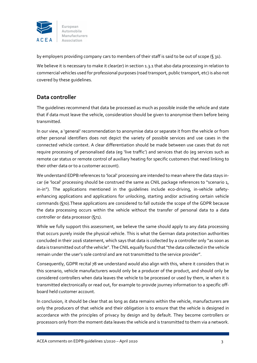

by employers providing company cars to members of their staff is said to be out of scope (§ 31).

We believe it is necessary to make it clear(er) in section 1.3.1 that also data processing in relation to commercial vehicles used for professional purposes (road transport, public transport, etc) is also not covered by these guidelines.

#### **Data controller**

The guidelines recommend that data be processed as much as possible inside the vehicle and state that if data must leave the vehicle, consideration should be given to anonymise them before being transmitted.

In our view, a 'general' recommendation to anonymise data or separate it from the vehicle or from other personal identifiers does not depict the variety of possible services and use cases in the connected vehicle context. A clear differentiation should be made between use cases that do not require processing of personalised data (eg 'live traffic') and services that do (eg services such as remote car status or remote control of auxiliary heating for specific customers that need linking to their other data or to a customer account).

We understand EDPB references to 'local' processing are intended to mean where the data stays incar (ie 'local' processing should be construed the same as CNIL package references to "scenario 1, in-in"). The applications mentioned in the quidelines include eco-driving, in-vehicle safetyenhancing applications and applications for unlocking, starting and/or activating certain vehicle commands (§70).These applications are considered to fall outside the scope of the GDPR because the data processing occurs within the vehicle without the transfer of personal data to a data controller or data processor (§71).

While we fully support this assessment, we believe the same should apply to any data processing that occurs purely inside the physical vehicle. This is what the German data protection authorities concluded in their 2016 statement, which says that data is collected by a controller only "as soon as data is transmitted out of the vehicle". The CNIL equally found that "the data collected in the vehicle remain under the user's sole control and are not transmitted to the service provider".

Consequently, GDPR recital 78 we understand would also align with this, where it considers that in this scenario, vehicle manufacturers would only be a producer of the product, and should only be considered controllers when data leaves the vehicle to be processed or used by them, ie when it is transmitted electronically or read out, for example to provide journey information to a specific off‐ board held customer account.

In conclusion, it should be clear that as long as data remains within the vehicle, manufacturers are only the producers of that vehicle and their obligation is to ensure that the vehicle is designed in accordance with the principles of privacy by design and by default. They become controllers or processors only from the moment data leaves the vehicle and is transmitted to them via a network.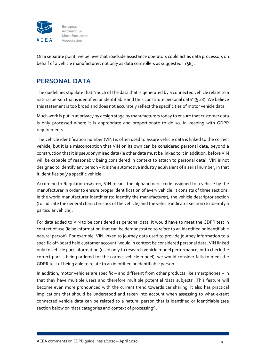

On a separate point, we believe that roadside assistance operators could act as data processors on behalf of a vehicle manufacturer, not only as data controllers as suggested in §83.

### **PERSONAL DATA**

The guidelines stipulate that "much of the data that is generated by a connected vehicle relate to a natural person that is identified or identifiable and thus constitute personal data"(§ 28). We believe this statement is too broad and does not accurately reflect the specificities of motor vehicle data.

Much work is put in at privacy by design stage by manufacturers today to ensure that customer data is only processed where it is appropriate and proportionate to do so, in keeping with GDPR requirements.

The vehicle identification number (VIN) is often used to assure vehicle data is linked to the correct vehicle, but it is a misconception that VIN on its own can be considered personal data, beyond a construction that it is pseudonymised data (ie other data must be linked to it in addition, before VIN will be capable of reasonably being considered in context to attach to personal data). VIN is not designed to identify any person – it is the automotive industry equivalent of a serial number, in that it identifies *only* a specific vehicle.

According to Regulation 19/2011, VIN means the alphanumeric code assigned to a vehicle by the manufacturer in order to ensure proper identification of every vehicle. It consists of three sections, ie the world manufacturer identifier (to identify the manufacturer), the vehicle descriptor section (to indicate the general characteristics of the vehicle) and the vehicle indicator section (to identify a particular vehicle).

For data added to VIN to be considered as personal data, it would have to meet the GDPR test in context of use (ie be information that can be demonstrated to *relate* to an identified or identifiable natural person). For example, VIN linked to journey data used to provide journey information to a specific off-board held customer account, would in context be considered personal data. VIN linked only to vehicle part information (used only to research vehicle model performance, or to check the correct part is being ordered for the correct vehicle model), we would consider fails to meet the GDPR test of being able to relate to an identified or identifiable person.

In addition, motor vehicles are specific – and different from other products like smartphones – in that they have multiple users and therefore multiple potential 'data subjects'. This feature will become even more pronounced with the current trend towards car sharing. It also has practical implications that should be understood and taken into account when assessing to what extent connected vehicle data can be related to a natural person that is identified or identifiable (see section below on 'data categories and context of processing').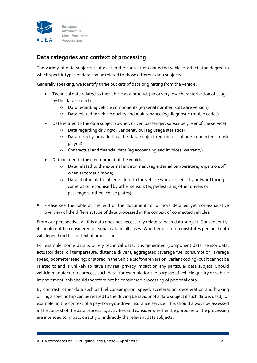

#### **Data categories and context of processing**

The variety of data subjects that exist in the context of connected vehicles affects the degree to which specific types of data can be related to those different data subjects.

Generally speaking, we identify three buckets of data originating from the vehicle:

- Technical data related to the vehicle as a product (no or very low characterisation of usage by the data subject)
	- o Data regarding vehicle components (eg serial number, software version)
	- o Data related to vehicle quality and maintenance (eg diagnostic trouble codes)
- Data related to the data subject (owner, driver, passenger, subscriber, user of the service)
	- o Data regarding driving/driver behaviour (eg usage statistics)
	- o Data directly provided by the data subject (eg mobile phone connected, music played)
	- o Contractual and financial data (eg accounting and invoices, warranty)
- Data related to the environment of the vehicle
	- $\circ$  Data related to the external environment (eq external temperature, wipers on/off when automatic mode)
	- o Data of other data subjects close to the vehicle who are 'seen' by outward facing cameras or recognised by other sensors (eg pedestrians, other drivers or passengers, other license plates)
- Please see the table at the end of the document for a more detailed yet non-exhaustive overview of the different type of data processed in the context of connected vehicles.

From our perspective, all this data does not necessarily relate to each data subject. Consequently, it should not be considered personal data in all cases. Whether or not it constitutes personal data will depend on the context of processing.

For example, some data is purely technical data. It is generated (component data, sensor data, actuator data, oil temperature, distance driven), aggregated (average fuel consumption, average speed, odometer reading) or stored in the vehicle (software version, variant coding) but it cannot be related to and is unlikely to have any real privacy impact on any particular data subject. Should vehicle manufacturers process such data, for example for the purpose of vehicle quality or vehicle improvement, this should therefore not be considered processing of personal data.

By contrast, other data such as fuel consumption, speed, acceleration, deceleration and braking during a specific trip can be related to the driving behaviour of a data subject if such data is used, for example, in the context of a pay‐how‐you‐drive insurance service. This should always be assessed in the context of the data processing activities and consider whether the purposes of the processing are intended to impact directly or indirectly the relevant data subjects.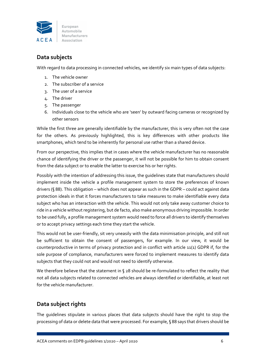

#### **Data subjects**

With regard to data processing in connected vehicles, we identify six main types of data subjects:

- 1. The vehicle owner
- 2. The subscriber of a service
- 3. The user of a service
- 4. The driver
- 5. The passenger
- 6. Individuals close to the vehicle who are 'seen' by outward facing cameras or recognized by other sensors

While the first three are generally identifiable by the manufacturer, this is very often not the case for the others. As previously highlighted, this is key differences with other products like smartphones, which tend to be inherently for personal use rather than a shared device.

From our perspective, this implies that in cases where the vehicle manufacturer has no reasonable chance of identifying the driver or the passenger, it will not be possible for him to obtain consent from the data subject or to enable the latter to exercise his or her rights.

Possibly with the intention of addressing this issue, the guidelines state that manufacturers should implement inside the vehicle a profile management system to store the preferences of known drivers (§ 88). This obligation – which does not appear as such in the GDPR – could act against data protection ideals in that it forces manufacturers to take measures to make identifiable every data subject who has an interaction with the vehicle. This would not only take away customer choice to ride in a vehicle without registering, but de facto, also make anonymous driving impossible. In order to be used fully, a profile management system would need to force all drivers to identify themselves or to accept privacy settings each time they start the vehicle.

This would not be user-friendly, sit very uneasily with the data minimisation principle, and still not be sufficient to obtain the consent of passengers, for example. In our view, it would be counterproductive in terms of privacy protection and in conflict with article 11(1) GDPR if, for the sole purpose of compliance, manufacturers were forced to implement measures to identify data subjects that they could not and would not need to identify otherwise.

We therefore believe that the statement in § 28 should be re-formulated to reflect the reality that not all data subjects related to connected vehicles are always identified or identifiable, at least not for the vehicle manufacturer.

#### **Data subject rights**

The guidelines stipulate in various places that data subjects should have the right to stop the processing of data or delete data that were processed. For example, § 88 says that drivers should be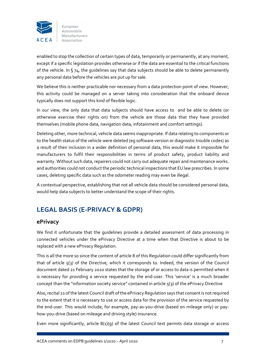

enabled to stop the collection of certain types of data, temporarily or permanently, at any moment, except if a specific legislation provides otherwise or if the data are essential to the critical functions of the vehicle. In §74, the guidelines say that data subjects should be able to delete permanently any personal data before the vehicles are put up for sale.

We believe this is neither practicable nor necessary from a data protection point of view. However, this activity could be managed on a server taking into consideration that the onboard device typically does not support this kind of flexible logic.

In our view, the only data that data subjects should have access to and be able to delete (or otherwise exercise their rights on) from the vehicle are those data that they have provided themselves (mobile phone data, navigation data, infotainment and comfort settings).

Deleting other, more technical, vehicle data seems inappropriate. If data relating to components or to the health status of the vehicle were deleted (eg software version or diagnostic trouble codes) as a result of their inclusion in a wider definition of personal data, this would make it impossible for manufacturers to fulfil their responsibilities in terms of product safety, product liability and warranty. Without such data, repairers could not carry out adequate repair and maintenance works. and authorities could not conduct the periodic technical inspections that EU law prescribes. In some cases, deleting specific data such as the odometer reading may even be illegal.

A contextual perspective, establishing that not all vehicle data should be considered personal data, would help data subjects to better understand the scope of their rights.

# **LEGAL BASIS (E‐PRIVACY & GDPR)**

#### **ePrivacy**

We find it unfortunate that the guidelines provide a detailed assessment of data processing in connected vehicles under the ePrivacy Directive at a time when that Directive is about to be replaced with a new ePrivacy Regulation.

This is all the more so since the content of article 8 of this Regulation could differ significantly from that of article 5(3) of the Directive, which it corresponds to. Indeed, the version of the Council document dated 21 February 2020 states that the storage of or access to data is permitted when it is necessary for providing a service requested by the end-user. This 'service' is a much broader concept than the "information society service" contained in article 5(3) of the ePrivacy Directive

Also, recital 21 of the latest Council draft of the ePrivacy Regulation says that consent is not required to the extent that it is necessary to use or access data for the provision of the service requested by the end-user. This would include, for example, pay-as-you-drive (based on mileage only) or payhow-you-drive (based on mileage and driving style) insurance.

Even more significantly, article 8(1)(g) of the latest Council text permits data storage or access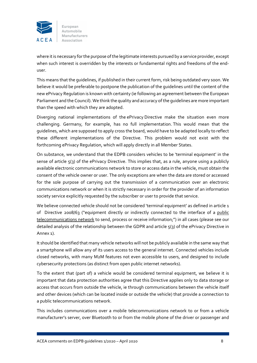

where it is necessary for the purpose of the legitimate interests pursued by a service provider, except when such interest is overridden by the interests or fundamental rights and freedoms of the enduser.

This means that the guidelines, if published in their current form, risk being outdated very soon. We believe it would be preferable to postpone the publication of the guidelines until the content of the new ePrivacy Regulation is known with certainty (ie following an agreement between the European Parliament and the Council). We think the quality and accuracy of the quidelines are more important than the speed with which they are adopted.

Diverging national implementations of the ePrivacy Directive make the situation even more challenging. Germany, for example, has no full implementation. This would mean that the guidelines, which are supposed to apply cross the board, would have to be adapted locally to reflect these different implementations of the Directive. This problem would not exist with the forthcoming ePrivacy Regulation, which will apply directly in all Member States.

On substance, we understand that the EDPB considers vehicles to be 'terminal equipment' in the sense of article  $5(3)$  of the ePrivacy Directive. This implies that, as a rule, anyone using a publicly available electronic communications network to store or access data in the vehicle, must obtain the consent of the vehicle owner or user. The only exceptions are when the data are stored or accessed for the sole purpose of carrying out the transmission of a communication over an electronic communications network or when it is strictly necessary in order for the provider of an information society service explicitly requested by the subscriber or user to provide that service.

We believe connected vehicle should not be considered 'terminal equipment' as defined in article 1 of Directive 2008/63 ("equipment directly or indirectly connected to the interface of a public telecommunications network to send, process or receive information;") in all cases (please see our detailed analysis of the relationship between the GDPR and article 5(3) of the ePrivacy Directive in Annex 1).

It should be identified that many vehicle networks will not be publicly available in the same way that a smartphone will allow any of its users access to the general internet. Connected vehicles include closed networks, with many M2M features not even accessible to users, and designed to include cybersecurity protections (as distinct from open public internet networks).

To the extent that (part of) a vehicle would be considered terminal equipment, we believe it is important that data protection authorities agree that this Directive applies only to data storage or access that occurs from outside the vehicle, ie through communications between the vehicle itself and other devices (which can be located inside or outside the vehicle) that provide a connection to a public telecommunications network.

This includes communications over a mobile telecommunications network to or from a vehicle manufacturer's server, over Bluetooth to or from the mobile phone of the driver or passenger and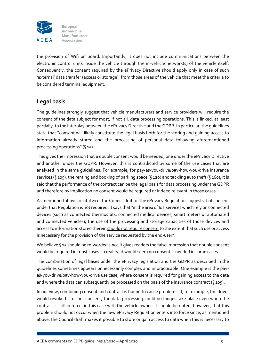

the provision of Wifi on board. Importantly, it does not include communications between the electronic control units inside the vehicle through the in-vehicle network(s) of the vehicle itself. Consequently, the consent required by the ePrivacy Directive should apply only in case of such 'external' data transfer (access or storage), from those areas of the vehicle that meet the criteria to be considered terminal equipment.

#### **Legal basis**

The guidelines strongly suggest that vehicle manufacturers and service providers will require the consent of the data subject for most, if not all, data processing operations. This is linked, at least partially, to the interplay between the ePrivacy Directive and the GDPR. In particular, the quidelines state that "consent will likely constitute the legal basis both for the storing and gaining access to information already stored and the processing of personal data following aforementioned processing operations" (§ 15).

This gives the impression that a double consent would be needed, one under the ePrivacy Directive and another under the GDPR. However, this is contradicted by some of the use cases that are analysed in the same quidelines. For example, for pay-as-you-drive/pay-how-you-drive insurance services (§ 105), the renting and booking of parking space (§ 120) and tackling auto theft (§ 160), it is said that the performance of the contract can be the legal basis for data processing under the GDPR and therefore by implication no consent would be required or indeed relevant in those cases.

As mentioned above, recital 21 of the Council draft of the ePrivacy Regulation suggests that consent under that Regulation is not required. It says that "in the area of IoT services which rely on connected devices (such as connected thermostats, connected medical devices, smart meters or automated and connected vehicles), the use of the processing and storage capacities of those devices and access to information stored therein should not require consent to the extent that such use or access is necessary for the provision of the service requested by the end‐user".

We believe §15 should be re-worded since it gives readers the false impression that double consent would be required in most cases. In reality, it would seem no consent is needed in some cases.

The combination of legal bases under the ePrivacy legislation and the GDPR as described in the guidelines sometimes appears unnecessarily complex and impracticable. One example is the pay‐ as-you-drive/pay-how-you-drive use case, where consent is required for gaining access to the data and where the data can subsequently be processed on the basis of the insurance contract (§ 105).

In our view, combining consent and contract is bound to cause problems. If, for example, the driver would revoke his or her consent, the data processing could no longer take place even when the contract is still in force, in this case with the vehicle owner. It should be noted, however, that this problem should not occur when the new ePrivacy Regulation enters into force since, as mentioned above, the Council draft makes it possible to store or gain access to data when this is necessary to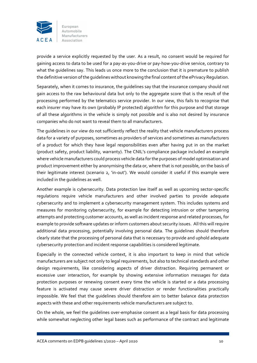

provide a service explicitly requested by the user. As a result, no consent would be required for gaining access to data to be used for a pay‐as‐you‐drive or pay‐how‐you‐drive service, contrary to what the guidelines say. This leads us once more to the conclusion that it is premature to publish the definitive version ofthe guidelines without knowing the final content ofthe ePrivacy Regulation.

Separately, when it comes to insurance, the guidelines say that the insurance company should not gain access to the raw behavioural data but only to the aggregate score that is the result of the processing performed by the telematics service provider. In our view, this fails to recognise that each insurer may have its own (probably IP protected) algorithm for this purpose and that storage of all these algorithms in the vehicle is simply not possible and is also not desired by insurance companies who do not want to reveal them to all manufacturers.

The guidelines in our view do not sufficiently reflect the reality that vehicle manufacturers process data for a variety of purposes, sometimes as providers of services and sometimes as manufacturers of a product for which they have legal responsibilities even after having put in on the market (product safety, product liability, warranty). The CNIL's compliance package included an example where vehicle manufacturers could process vehicle data forthe purposes of model optimisation and product improvement either by anonymising the data or, where that is not possible, on the basis of their legitimate interest (scenario 2, 'in‐out'). We would consider it useful if this example were included in the guidelines as well.

Another example is cybersecurity. Data protection law itself as well as upcoming sector‐specific regulations require vehicle manufacturers and other involved parties to provide adequate cybersecurity and to implement a cybersecurity management system. This includes systems and measures for monitoring cybersecurity, for example for detecting intrusion or other tampering attempts and protecting customer accounts, as well as incident response and related processes, for example to provide software updates or inform customers about security issues. All this will require additional data processing, potentially involving personal data. The guidelines should therefore clearly state that the processing of personal data that is necessary to provide and uphold adequate cybersecurity protection and incident response capabilities is considered legitimate.

Especially in the connected vehicle context, it is also important to keep in mind that vehicle manufacturers are subject not only to legal requirements, but also to technical standards and other design requirements, like considering aspects of driver distraction. Requiring permanent or excessive user interaction, for example by showing extensive information messages for data protection purposes or renewing consent every time the vehicle is started or a data processing feature is activated may cause severe driver distraction or render functionalities practically impossible. We feel that the guidelines should therefore aim to better balance data protection aspects with these and other requirements vehicle manufacturers are subject to.

On the whole, we feel the guidelines over‐emphasise consent as a legal basis for data processing while somewhat neglecting other legal bases such as performance of the contract and legitimate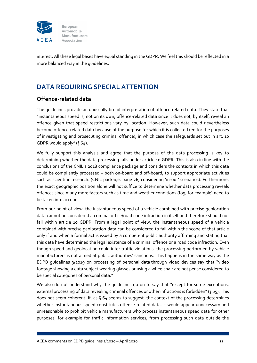

interest. All these legal bases have equal standing in the GDPR. We feel this should be reflected in a more balanced way in the guidelines.

## **DATA REQUIRING SPECIAL ATTENTION**

#### **Offence‐related data**

The guidelines provide an unusually broad interpretation of offence‐related data. They state that "instantaneous speed is, not on its own, offence‐related data since it does not, by itself, reveal an offence given that speed restrictions vary by location. However, such data could nevertheless become offence-related data because of the purpose for which it is collected (eq for the purposes of investigating and prosecuting criminal offence), in which case the safeguards set out in art. 10 GDPR would apply" (§ 64).

We fully support this analysis and agree that the purpose of the data processing is key to determining whether the data processing falls under article 10 GDPR. This is also in line with the conclusions of the CNIL's 2018 compliance package and considers the contexts in which this data could be compliantly processed – both on‐board and off‐board, to support appropriate activities such as scientific research. (CNIL package, page 26, considering 'in-out' scenarios). Furthermore, the exact geographic position alone will not suffice to determine whether data processing reveals offences since many more factors such as time and weather conditions (fog, for example) need to be taken into account.

From our point of view, the instantaneous speed of a vehicle combined with precise geolocation data cannot be considered a criminal office/road code infraction in itself and therefore should not fall within article 10 GDPR. From a legal point of view, the instantaneous speed of a vehicle combined with precise geolocation data can be considered to fall within the scope of that article only if and when a formal act is issued by a competent public authority affirming and stating that this data have determined the legal existence of a criminal offence or a road code infraction. Even though speed and geolocation could infer traffic violations, the processing performed by vehicle manufacturers is not aimed at public authorities' sanctions. This happens in the same way as the EDPB guidelines 3/2019 on processing of personal data through video devices say that "video footage showing a data subject wearing glasses or using a wheelchair are not per se considered to be special categories of personal data."

We also do not understand why the quidelines go on to say that "except for some exceptions, external processing of data revealing criminal offences or other infractions is forbidden"(§ 65). This does not seem coherent. If, as  $64$  seems to suggest, the context of the processing determines whether instantaneous speed constitutes offence-related data, it would appear unnecessary and unreasonable to prohibit vehicle manufacturers who process instantaneous speed data for other purposes, for example for traffic information services, from processing such data outside the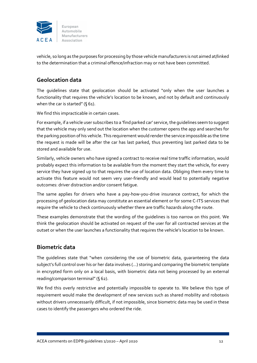

vehicle, so long as the purposes for processing by those vehicle manufacturers is not aimed at/linked to the determination that a criminal offence/infraction may or not have been committed.

#### **Geolocation data**

The guidelines state that geolocation should be activated "only when the user launches a functionality that requires the vehicle's location to be known, and not by default and continuously when the car is started" (§ 61).

We find this impracticable in certain cases.

For example, if a vehicle user subscribes to a 'find parked car' service, the guidelines seem to suggest that the vehicle may only send out the location when the customer opens the app and searches for the parking position of his vehicle. This requirement would renderthe service impossible as the time the request is made will be after the car has last parked, thus preventing last parked data to be stored and available for use.

Similarly, vehicle owners who have signed a contract to receive real time traffic information, would probably expect this information to be available from the moment they start the vehicle, for every service they have signed up to that requires the use of location data. Obliging them every time to activate this feature would not seem very user-friendly and would lead to potentially negative outcomes: driver distraction and/or consent fatigue.

The same applies for drivers who have a pay-how-you-drive insurance contract, for which the processing of geolocation data may constitute an essential element or for some C‐ITS services that require the vehicle to check continuously whether there are traffic hazards along the route.

These examples demonstrate that the wording of the guidelines is too narrow on this point. We think the geolocation should be activated on request of the user for all contracted services at the outset or when the user launches a functionality that requires the vehicle's location to be known.

#### **Biometric data**

The guidelines state that "when considering the use of biometric data, guaranteeing the data subject's full control over his or her data involves (…) storing and comparing the biometric template in encrypted form only on a local basis, with biometric data not being processed by an external reading/comparison terminal" (§ 62).

We find this overly restrictive and potentially impossible to operate to. We believe this type of requirement would make the development of new services such as shared mobility and robotaxis without drivers unnecessarily difficult, if not impossible, since biometric data may be used in these cases to identify the passengers who ordered the ride.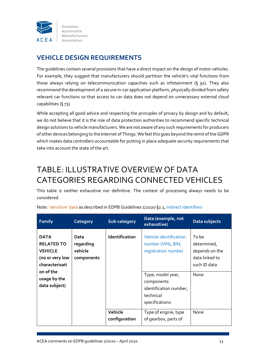

### **VEHICLE DESIGN REQUIREMENTS**

The guidelines contain several provisions that have a direct impact on the design of motor vehicles. For example, they suggest that manufacturers should partition the vehicle's vital functions from those always relying on telecommunication capacities such as infotainment (§ 91). They also recommend the development of a secure in‐car application platform, physically divided from safety relevant car functions so that access to car data does not depend on unnecessary external cloud capabilities (§ 73).

While accepting all good advice and respecting the principles of privacy by design and by default, we do not believe that it is the role of data protection authorities to recommend specific technical design solutions to vehicle manufacturers. We are not aware of any such requirements for producers of other devices belonging to the Internet of Things. We feelthis goes beyond the remit oftheGDPR which makes data controllers accountable for putting in place adequate security requirements that take into account the state of the art.

# TABLE: ILLUSTRATIVE OVERVIEW OF DATA CATEGORIES REGARDING CONNECTED VEHICLES

This table is neither exhaustive nor definitive. The context of processing always needs to be considered.

| <b>Family</b>                                                                                                                         | Category                                   | Sub-category              | Data (example, not<br>exhaustive)                                                                                                                                                       | Data subjects                                                                            |
|---------------------------------------------------------------------------------------------------------------------------------------|--------------------------------------------|---------------------------|-----------------------------------------------------------------------------------------------------------------------------------------------------------------------------------------|------------------------------------------------------------------------------------------|
| <b>DATA</b><br><b>RELATED TO</b><br><b>VEHICLE</b><br>(no or very low<br>characterisati<br>on of the<br>usage by the<br>data subject) | Data<br>regarding<br>vehicle<br>components | Identification<br>Vehicle | Vehicle identification<br>number (VIN), BIN,<br>registration number<br>Type, model year,<br>components<br>identification number,<br>technical<br>specifications<br>Type of engine, type | To be<br>determined,<br>depends on the<br>data linked to<br>such ID data<br>None<br>None |
|                                                                                                                                       |                                            | configuration             | of gearbox, parts of                                                                                                                                                                    |                                                                                          |

Note: 'sensitive' data as described in EDPB Guidelines 1/2020 §2.1, indirect identifiers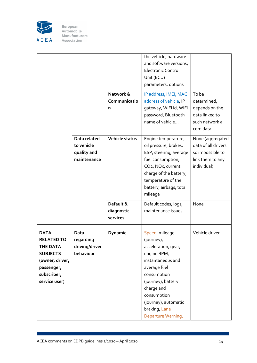

|                                                                                                                                  |                                                          |                                     | the vehicle, hardware<br>and software versions,<br><b>Electronic Control</b><br>Unit (ECU)<br>parameters, options                                                                                                                        |                                                                                                |
|----------------------------------------------------------------------------------------------------------------------------------|----------------------------------------------------------|-------------------------------------|------------------------------------------------------------------------------------------------------------------------------------------------------------------------------------------------------------------------------------------|------------------------------------------------------------------------------------------------|
|                                                                                                                                  |                                                          | Network &<br>Communicatio<br>n      | IP address, IMEI, MAC<br>address of vehicle, IP<br>gateway, WIFI Id, WIFI<br>password, Bluetooth<br>name of vehicle                                                                                                                      | To be<br>determined,<br>depends on the<br>data linked to<br>such network a<br>com data         |
|                                                                                                                                  | Data related<br>to vehicle<br>quality and<br>maintenance | Vehicle status                      | Engine temperature,<br>oil pressure, brakes,<br>ESP, steering, average<br>fuel consumption,<br>CO <sub>2</sub> , NO <sub>x</sub> , current<br>charge of the battery,<br>temperature of the<br>battery, airbags, total<br>mileage         | None (aggregated<br>data of all drivers<br>so impossible to<br>link them to any<br>individual) |
|                                                                                                                                  |                                                          | Default &<br>diagnostic<br>services | Default codes, logs,<br>maintenance issues                                                                                                                                                                                               | None                                                                                           |
| <b>DATA</b><br><b>RELATED TO</b><br>THE DATA<br><b>SUBJECTS</b><br>(owner, driver,<br>passenger,<br>subscriber,<br>service user) | Data<br>regarding<br>driving/driver<br>behaviour         | Dynamic                             | Speed, mileage<br>(journey),<br>acceleration, gear,<br>engine RPM,<br>instantaneous and<br>average fuel<br>consumption<br>(journey), battery<br>charge and<br>consumption<br>(journey), automatic<br>braking, Lane<br>Departure Warning, | Vehicle driver                                                                                 |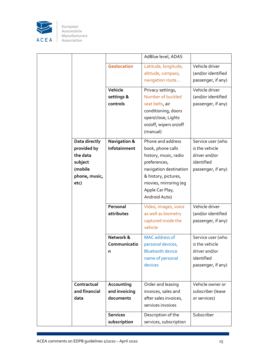

|                                                                                         |                                          | AdBlue level, ADAS                                                                                                                                                                             |                                                                                          |
|-----------------------------------------------------------------------------------------|------------------------------------------|------------------------------------------------------------------------------------------------------------------------------------------------------------------------------------------------|------------------------------------------------------------------------------------------|
|                                                                                         | <b>Geolocation</b>                       | Latitude, longitude,<br>altitude, compass,<br>navigation route                                                                                                                                 | Vehicle driver<br>(and/or identified<br>passenger, if any)                               |
|                                                                                         | Vehicle<br>settings &<br>controls        | Privacy settings,<br>Number of buckled<br>seat belts, air<br>conditioning, doors<br>open/close, Lights<br>on/off, wipers on/off<br>(manual)                                                    | Vehicle driver<br>(and/or identified<br>passenger, if any)                               |
| Data directly<br>provided by<br>the data<br>subject<br>(mobile<br>phone, music,<br>etc) | <b>Navigation &amp;</b><br>Infotainment  | Phone and address<br>book, phone calls<br>history, music, radio<br>preferences,<br>navigation destination<br>& history, pictures,<br>movies, mirroring (eg<br>Apple Car Play,<br>Android Auto) | Service user (who<br>is the vehicle<br>driver and/or<br>identified<br>passenger, if any) |
|                                                                                         | Personal<br>attributes                   | Video, images, voice<br>as well as biometry<br>captured inside the<br>vehicle                                                                                                                  | Vehicle driver<br>(and/or identified<br>passenger, if any)                               |
|                                                                                         | Network &<br>Communicatio<br>n           | <b>MAC</b> address of<br>personal devices,<br><b>Bluetooth device</b><br>name of personal<br>devices                                                                                           | Service user (who<br>is the vehicle<br>driver and/or<br>identified<br>passenger, if any) |
| Contractual<br>and financial<br>data                                                    | Accounting<br>and invoicing<br>documents | Order and leasing<br>invoices, sales and<br>after sales invoices,<br>services invoices                                                                                                         | Vehicle owner or<br>subscriber (lease<br>or services)                                    |
|                                                                                         | <b>Services</b><br>subscription          | Description of the<br>services, subscription                                                                                                                                                   | Subscriber                                                                               |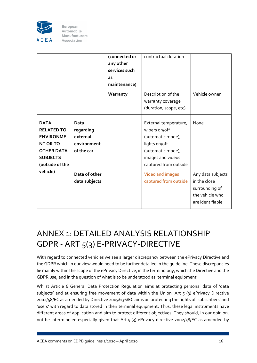

|                                                                                                                                                |                                                            | (connected or<br>any other<br>services such<br>as<br>maintenance) | contractual duration                                                                                                                            |                                                                                            |
|------------------------------------------------------------------------------------------------------------------------------------------------|------------------------------------------------------------|-------------------------------------------------------------------|-------------------------------------------------------------------------------------------------------------------------------------------------|--------------------------------------------------------------------------------------------|
|                                                                                                                                                |                                                            | Warranty                                                          | Description of the<br>warranty coverage<br>(duration, scope, etc)                                                                               | Vehicle owner                                                                              |
| <b>DATA</b><br><b>RELATED TO</b><br><b>ENVIRONME</b><br><b>NT OR TO</b><br><b>OTHER DATA</b><br><b>SUBJECTS</b><br>(outside of the<br>vehicle) | Data<br>regarding<br>external<br>environment<br>of the car |                                                                   | External temperature,<br>wipers on/off<br>(automatic mode),<br>lights on/off<br>(automatic mode),<br>images and videos<br>captured from outside | None                                                                                       |
|                                                                                                                                                | Data of other<br>data subjects                             |                                                                   | Video and images<br>captured from outside                                                                                                       | Any data subjects<br>in the close<br>surrounding of<br>the vehicle who<br>are identifiable |

# ANNEX 1: DETAILED ANALYSIS RELATIONSHIP GDPR ‐ ART 5(3) E‐PRIVACY‐DIRECTIVE

With regard to connected vehicles we see a larger discrepancy between the ePrivacy Directive and the GDPR which in our view would need to be further detailed in the guideline. These discrepancies lie mainly within the scope ofthe ePrivacy Directive, in the terminology, which the Directive and the GDPR use, and in the question of what is to be understood as 'terminal equipment'.

Whilst Article 6 General Data Protection Regulation aims at protecting personal data of 'data subjects' and at ensuring free movement of data within the Union, Art  $5$  (3) ePrivacy Directive 2002/58/EC as amended by Directive 2009/136/EC aims on protecting the rights of 'subscribers' and 'users' with regard to data stored in their terminal equipment. Thus, these legal instruments have different areas of application and aim to protect different objectives. They should, in our opinion, not be intermingled especially given that Art 5 (3) ePrivacy directive 2002/58/EC as amended by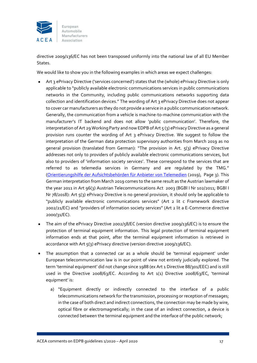

directive 2009/136/EC has not been transposed uniformly into the national law of all EU Member States.

We would like to show you in the following examples in which areas we expect challenges:

- Art 3 ePrivacy Directive ('services concerned') states that the (whole) ePrivacy Directive is only applicable to "publicly available electronic communications services in public communications networks in the Community, including public communications networks supporting data collection and identification devices." The wording of Art 3 ePrivacy Directive does not appear to cover car manufacturers as they do not provide a service in a public communication network. Generally, the communication from a vehicle is machine-to-machine communication with the manufacturer's IT backend and does not allow 'public communication'. Therefore, the interpretation of Art 29 Working Party and now EDPB of Art  $\zeta$  (3) ePrivacy Directive as a general provision runs counter the wording of Art 3 ePrivacy Directive. We suggest to follow the interpretation of the German data protection supervisory authorities from March 2019 as no general provision (translated from German): "The provision in Art. 5(3) ePrivacy Directive addresses not only to providers of publicly available electronic communications services, but also to providers of 'information society services'. These correspond to the services that are referred to as telemedia services in Germany and are regulated by the TMG." (Orientierungshilfe der Aufsichtsbehörden für Anbieter von Telemedien (2019), Page 3). This German interpretation from March 2019 comes to the same result as the Austrian lawmaker of the year 2011 in Art 96(3) Austrian Telecommunications Act 2003 (BGBl I Nr 102/2011; BGBl I Nr 78/2018): Art 5(3) ePrivacy Directive is no general provision, it should only be applicable to "publicly available electronic communications services" (Art 2 lit c Framework directive 2002/21/EC) and "providers of information society services" (Art 2 lit a E‐Commerce directive 2000/31/EC).
- The aim of the ePrivacy Directive 2002/58/EC (version directive 2009/136/EC) is to ensure the protection of terminal equipment information. This legal protection of terminal equipment information ends at that point, after the terminal equipment information is retrieved in accordance with Art  $\varsigma(3)$  ePrivacy directive (version directive 2009/136/EC).
- The assumption that a connected car as a whole should be 'terminal equipment' under European telecommunication law is in our point of view not entirely judicially explored. The term 'terminal equipment' did not change since 1988 (ex Art 1 Directive 88/301/EEC) and is still used in the Directive 2008/63/EC. According to Art 1(1) Directive 2008/63/EC, 'terminal equipment' is:
	- a) "Equipment directly or indirectly connected to the interface of a public telecommunications network forthe transmission, processing or reception of messages; in the case of both direct and indirect connections, the connection may be made by wire, optical fibre or electromagnetically; in the case of an indirect connection, a device is connected between the terminal equipment and the interface of the public network;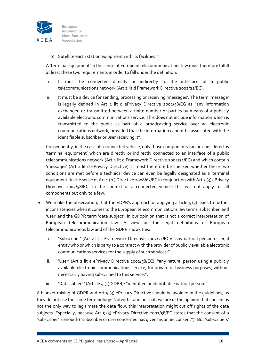

b) Satellite earth station equipment with its facilities."

A 'terminal equipment' in the sense of European telecommunications law must therefore fulfill at least these two requirements in order to fall under the definition:

- i. It must be connected directly or indirectly to the interface of a public telecommunications network (Art 2 lit d Framework Directive 2002/21/EC).
- ii. It must be a device for sending, processing or receiving 'messages'. The term 'message' is legally defined in Art 2 lit d ePrivacy Directive 2002/58/EG as "any information exchanged or transmitted between a finite number of parties by means of a publicly available electronic communications service. This does not include information which is transmitted to the public as part of a broadcasting service over an electronic communications network, provided that the information cannot be associated with the identifiable subscriber or user receiving it".

Consequently, in the case of a connected vehicle, only those components can be considered as 'terminal equipment' which are directly or indirectly connected to an interface of a public telecommunications network (Art 2 lit d Framework Directive 2002/21/EC) and which contain 'messages' (Art 2 lit d ePrivacy Directive). It must therefore be checked whether these two conditions are met before a technical device can even be legally designated as a 'terminal equipment' in the sense of Art  $1 ( 1 )$  Directive 2008/63/EC in conjunction with Art  $5 (3)$  ePrivacy Directive 2002/58/EC. In the context of a connected vehicle this will not apply for all components but only to a few.

- We make the observation, that the EDPB's approach of applying article  $5$  (3) leads to further inconsistencies when it comes to the European telecommunications law terms 'subscriber' and 'user' and the GDPR term 'data subject'. In our opinion that is not a correct interpretation of European telecommunication law. A view on the legal definitions of European telecommunications law and of the GDPR shows this:
	- i. 'Subscriber' (Art 2 lit k Framework Directive 2002/21/EC): "any natural person or legal entity who or which is party to a contract with the provider of publicly available electronic communications services for the supply of such services;".
	- ii. 'User' (Art 2 lit a ePrivacy Directive 2002/58/EC): "any natural person using a publicly available electronic communications service, for private or business purposes, without necessarily having subscribed to this service;".
	- iii. 'Data subject' (Article 4 (1) GDPR): "identified or identifiable natural person."

A blanket mixing of GDPR and Art  $5(3)$  ePrivacy Directive should be avoided in the quidelines, as they do not use the same terminology. Notwithstanding that, we are of the opinion that consent is not the only way to legitimate the data flow; this interpretation might cut off rights of the data subjects. Especially, because Art  $5$  (3) ePrivacy Directive 2002/ $58$ /EC states that the consent of a 'subscriber' is enough ("subscriber or user concerned has given his or her consent"). But'subscribers'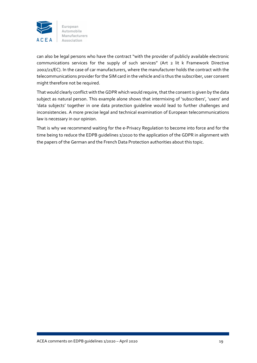

can also be legal persons who have the contract "with the provider of publicly available electronic communications services for the supply of such services" (Art 2 lit k Framework Directive 2002/21/EC). In the case of car manufacturers, where the manufacturer holds the contract with the telecommunications provider for the SIM card in the vehicle and is thus the subscriber, user consent might therefore not be required.

That would clearly conflict with the GDPR which would require, that the consent is given by the data subject as natural person. This example alone shows that intermixing of 'subscribers', 'users' and 'data subjects' together in one data protection guideline would lead to further challenges and inconsistencies. A more precise legal and technical examination of European telecommunications law is necessary in our opinion.

That is why we recommend waiting for the e‐Privacy Regulation to become into force and for the time being to reduce the EDPB guidelines 1/2020 to the application of the GDPR in alignment with the papers of the German and the French Data Protection authorities about this topic.